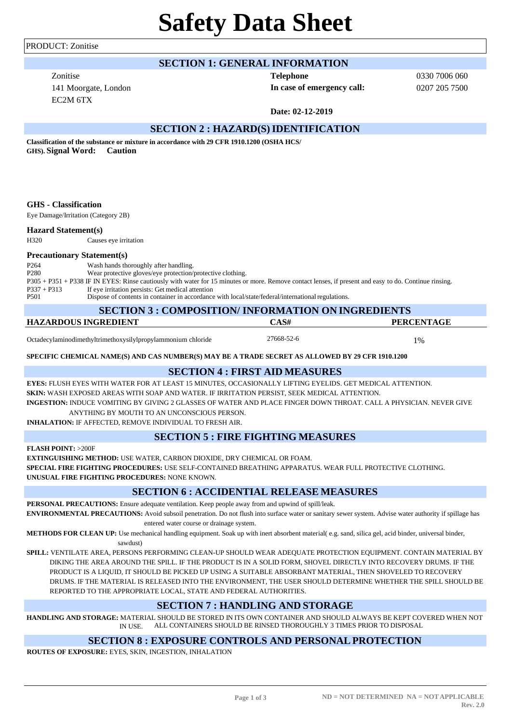PRODUCT: Zonitise

# **Safety Data Sheet**

# **SECTION 1: GENERAL INFORMATION**

Zonitise **Telephone** EC2M 6TX

**In case of emergency call:** 0207 205 7500

0330 7006 060

**Date: 02-12-2019**

# **SECTION 2 : HAZARD(S)IDENTIFICATION**

**Classification of the substance or mixture in accordance with 29 CFR 1910.1200 (OSHA HCS/ GHS). Signal Word: Caution**

#### **GHS - Classification**

Eye Damage/Irritation (Category 2B)

#### **Hazard Statement(s)**

H320 Causes eye irritation

#### **Precautionary Statement(s)**

P264 Wash hands thoroughly after handling. P280 Wear protective gloves/eye protection/protective clothing. P305 + P351 + P338 IF IN EYES: Rinse cautiously with water for 15 minutes or more. Remove contact lenses, if present and easy to do. Continue rinsing. P337 + P313 If eye irritation persists: Get medical attention Dispose of contents in container in accordance with local/state/federal/international regulations.

| <b>SECTION 3 : COMPOSITION/ INFORMATION ON INGREDIENTS</b> |            |                   |  |  |
|------------------------------------------------------------|------------|-------------------|--|--|
| HAZARDOUS INGREDIENT                                       | CAS#       | <b>PERCENTAGE</b> |  |  |
|                                                            | <b>. .</b> |                   |  |  |

Octadecylaminodimethyltrimethoxysilylpropylammonium chloride 27668-52-6 2008-71%

**SPECIFIC CHEMICAL NAME(S) AND CAS NUMBER(S) MAY BE A TRADE SECRET AS ALLOWED BY 29 CFR 1910.1200**

## **SECTION 4 : FIRST AID MEASURES**

**EYES:** FLUSH EYES WITH WATER FOR AT LEAST 15 MINUTES, OCCASIONALLY LIFTING EYELIDS. GET MEDICAL ATTENTION. **SKIN:** WASH EXPOSED AREAS WITH SOAP AND WATER. IF IRRITATION PERSIST, SEEK MEDICAL ATTENTION. **INGESTION:** INDUCE VOMITING BY GIVING 2 GLASSES OF WATER AND PLACE FINGER DOWN THROAT. CALL A PHYSICIAN. NEVER GIVE

ANYTHING BY MOUTH TO AN UNCONSCIOUS PERSON.

**INHALATION:** IF AFFECTED, REMOVE INDIVIDUAL TO FRESH AIR.

# **SECTION 5 : FIRE FIGHTING MEASURES**

**FLASH POINT:** >200F

**EXTINGUISHING METHOD:** USE WATER, CARBON DIOXIDE, DRY CHEMICAL OR FOAM.

**SPECIAL FIRE FIGHTING PROCEDURES:** USE SELF-CONTAINED BREATHING APPARATUS. WEAR FULL PROTECTIVE CLOTHING. **UNUSUAL FIRE FIGHTING PROCEDURES:** NONE KNOWN.

# **SECTION 6 : ACCIDENTIAL RELEASE MEASURES**

**PERSONAL PRECAUTIONS:** Ensure adequate ventilation. Keep people away from and upwind of spill/leak. **ENVIRONMENTAL PRECAUTIONS:** Avoid subsoil penetration. Do not flush into surface water or sanitary sewer system. Advise water authority if spillage has entered water course or drainage system.

**METHODS FOR CLEAN UP:** Use mechanical handling equipment. Soak up with inert absorbent material( e.g. sand, silica gel, acid binder, universal binder, sawdust)

**SPILL:** VENTILATE AREA, PERSONS PERFORMING CLEAN-UP SHOULD WEAR ADEQUATE PROTECTION EQUIPMENT. CONTAIN MATERIAL BY DIKING THE AREA AROUND THE SPILL. IF THE PRODUCT IS IN A SOLID FORM, SHOVEL DIRECTLY INTO RECOVERY DRUMS. IF THE PRODUCT IS A LIQUID, IT SHOULD BE PICKED UP USING A SUITABLE ABSORBANT MATERIAL, THEN SHOVELED TO RECOVERY DRUMS. IF THE MATERIAL IS RELEASED INTO THE ENVIRONMENT, THE USER SHOULD DETERMINE WHETHER THE SPILL SHOULD BE REPORTED TO THE APPROPRIATE LOCAL, STATE AND FEDERAL AUTHORITIES.

# **SECTION 7 : HANDLING AND STORAGE**

**HANDLING AND STORAGE:** MATERIAL SHOULD BE STORED IN ITS OWN CONTAINER AND SHOULD ALWAYS BE KEPT COVERED WHEN NOT IN USE. ALL CONTAINERS SHOULD BE RINSED THOROUGHLY 3 TIMES PRIOR TO DISPOSAL

## **SECTION 8 : EXPOSURE CONTROLS AND PERSONAL PROTECTION**

**ROUTES OF EXPOSURE:** EYES, SKIN, INGESTION, INHALATION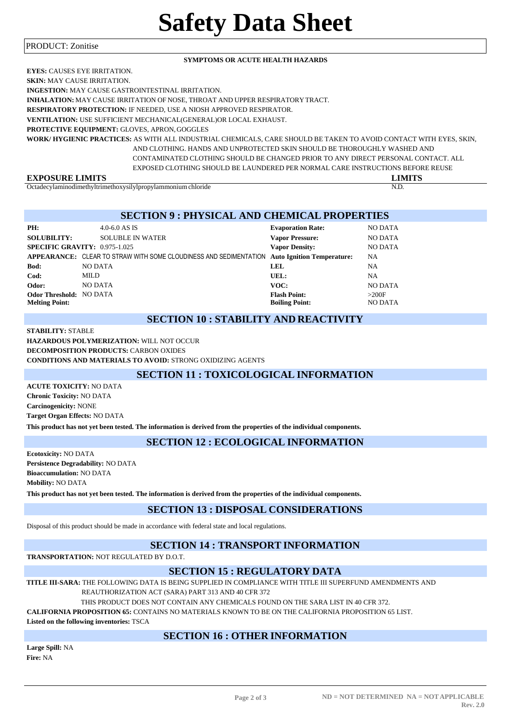#### PRODUCT: Zonitise

#### **SYMPTOMS OR ACUTE HEALTH HAZARDS**

| <b>EYES: CAUSES EYE IRRITATION.</b>                                                                               |
|-------------------------------------------------------------------------------------------------------------------|
| <b>SKIN: MAY CAUSE IRRITATION.</b>                                                                                |
| <b>INGESTION:</b> MAY CAUSE GASTROINTESTINAL IRRITATION.                                                          |
| <b>INHALATION:</b> MAY CAUSE IRRITATION OF NOSE, THROAT AND UPPER RESPIRATORY TRACT.                              |
| <b>RESPIRATORY PROTECTION: IF NEEDED. USE A NIOSH APPROVED RESPIRATOR.</b>                                        |
| <b>VENTILATION: USE SUFFICIENT MECHANICAL (GENERAL)OR LOCAL EXHAUST.</b>                                          |
| <b>PROTECTIVE EQUIPMENT: GLOVES, APRON, GOGGLES</b>                                                               |
| WORK/HYGIENIC PRACTICES: AS WITH ALL INDUSTRIAL CHEMICALS. CARE SHOULD BE TAKEN TO AVOID CONTACT WITH EYES. SKIN. |
| AND CLOTHING. HANDS AND UNPROTECTED SKIN SHOULD BE THOROUGHLY WASHED AND                                          |
| CONTAMINATED CLOTHING SHOULD BE CHANGED PRIOR TO ANY DIRECT PERSONAL CONTACT. ALL                                 |
| EXPOSED CLOTHING SHOULD BE LAUNDERED PER NORMAL CARE INSTRUCTIONS BEFORE REUSE                                    |
| <b>EXPOSURE LIMITS</b><br><b>LIMITS</b>                                                                           |

Octadecylaminodimethyltrimethoxysilylpropylammonium chloride N.D.

#### **SECTION 9 : PHYSICAL AND CHEMICAL PROPERTIES**

| PH:                            | 4.0-6.0 AS IS                                                                                | <b>Evaporation Rate:</b> | <b>NO DATA</b> |
|--------------------------------|----------------------------------------------------------------------------------------------|--------------------------|----------------|
| <b>SOLUBILITY:</b>             | <b>SOLUBLE IN WATER</b>                                                                      | <b>Vapor Pressure:</b>   | <b>NO DATA</b> |
|                                | <b>SPECIFIC GRAVITY: 0.975-1.025</b>                                                         | <b>Vapor Density:</b>    | <b>NO DATA</b> |
|                                | APPEARANCE: CLEAR TO STRAW WITH SOME CLOUDINESS AND SEDIMENTATION Auto Ignition Temperature: |                          | <b>NA</b>      |
| Bod:                           | <b>NO DATA</b>                                                                               | LEL.                     | NA             |
| Cod:                           | MILD                                                                                         | UEL:                     | <b>NA</b>      |
| Odor:                          | <b>NO DATA</b>                                                                               | VOC:                     | <b>NO DATA</b> |
| <b>Odor Threshold: NO DATA</b> |                                                                                              | <b>Flash Point:</b>      | >200F          |
| <b>Melting Point:</b>          |                                                                                              | <b>Boiling Point:</b>    | <b>NO DATA</b> |

# **SECTION 10 : STABILITY AND REACTIVITY**

#### **STABILITY:** STABLE

**HAZARDOUS POLYMERIZATION:** WILL NOT OCCUR **DECOMPOSITION PRODUCTS:** CARBON OXIDES **CONDITIONS AND MATERIALS TO AVOID:** STRONG OXIDIZING AGENTS

# **SECTION 11 : TOXICOLOGICAL INFORMATION**

**ACUTE TOXICITY:** NO DATA **Chronic Toxicity:** NO DATA **Carcinogenicity:** NONE **Target Organ Effects:** NO DATA **This product has not yet been tested. The information is derived from the properties of the individual components.**

## **SECTION 12 : ECOLOGICAL INFORMATION**

**Ecotoxicity:** NO DATA **Persistence Degradability:** NO DATA **Bioaccumulation:** NO DATA **Mobility:** NO DATA

**This product has not yet been tested. The information is derived from the properties of the individual components.**

### **SECTION 13 : DISPOSAL CONSIDERATIONS**

Disposal of this product should be made in accordance with federal state and local regulations.

# **SECTION 14 : TRANSPORT INFORMATION**

**TRANSPORTATION:** NOT REGULATED BY D.O.T.

#### **SECTION 15 : REGULATORY DATA**

**TITLE III-SARA:** THE FOLLOWING DATA IS BEING SUPPLIED IN COMPLIANCE WITH TITLE III SUPERFUND AMENDMENTS AND REAUTHORIZATION ACT (SARA) PART 313 AND 40 CFR 372

THIS PRODUCT DOES NOT CONTAIN ANY CHEMICALS FOUND ON THE SARA LIST IN 40 CFR 372.

**CALIFORNIA PROPOSITION 65:** CONTAINS NO MATERIALS KNOWN TO BE ON THE CALIFORNIA PROPOSITION 65 LIST.

**Listed on the following inventories:** TSCA

# **SECTION 16 : OTHER INFORMATION**

**Large Spill:** NA **Fire:** NA